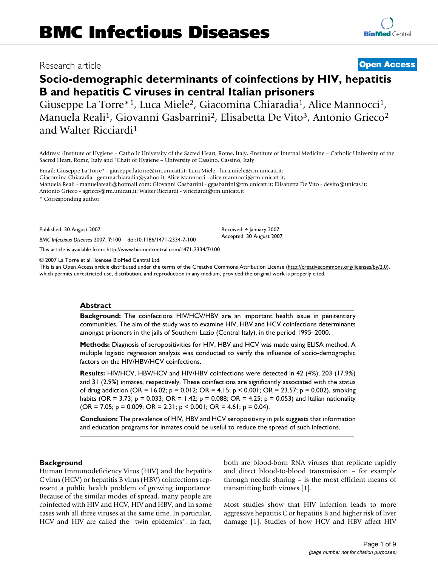# Research article **[Open Access](http://www.biomedcentral.com/info/about/charter/)**

# **Socio-demographic determinants of coinfections by HIV, hepatitis B and hepatitis C viruses in central Italian prisoners**

Giuseppe La Torre\*<sup>1</sup>, Luca Miele<sup>2</sup>, Giacomina Chiaradia<sup>1</sup>, Alice Mannocci<sup>1</sup>, Manuela Reali<sup>1</sup>, Giovanni Gasbarrini<sup>2</sup>, Elisabetta De Vito<sup>3</sup>, Antonio Grieco<sup>2</sup> and Walter Ricciardi1

Address: 1Institute of Hygiene – Catholic University of the Sacred Heart, Rome, Italy, 2Institute of Internal Medicine – Catholic University of the Sacred Heart, Rome, Italy and 3Chair of Hygiene – University of Cassino, Cassino, Italy

Email: Giuseppe La Torre\* - giuseppe.latorre@rm.unicatt.it; Luca Miele - luca.miele@rm.unicatt.it; Giacomina Chiaradia - gemmachiaradia@yahoo.it; Alice Mannocci - alice.mannocci@rm.unicatt.it;

Manuela Reali - manuelareali@hotmail.com; Giovanni Gasbarrini - ggasbarrini@rm.unicatt.it; Elisabetta De Vito - devito@unicas.it;

Antonio Grieco - agrieco@rm.unicatt.it; Walter Ricciardi - wricciardi@rm.unicatt.it

\* Corresponding author

Published: 30 August 2007

*BMC Infectious Diseases* 2007, **7**:100 doi:10.1186/1471-2334-7-100

[This article is available from: http://www.biomedcentral.com/1471-2334/7/100](http://www.biomedcentral.com/1471-2334/7/100)

© 2007 La Torre et al; licensee BioMed Central Ltd.

This is an Open Access article distributed under the terms of the Creative Commons Attribution License [\(http://creativecommons.org/licenses/by/2.0\)](http://creativecommons.org/licenses/by/2.0), which permits unrestricted use, distribution, and reproduction in any medium, provided the original work is properly cited.

Received: 4 January 2007 Accepted: 30 August 2007

#### **Abstract**

**Background:** The coinfections HIV/HCV/HBV are an important health issue in penitentiary communities. The aim of the study was to examine HIV, HBV and HCV coinfections determinants amongst prisoners in the jails of Southern Lazio (Central Italy), in the period 1995–2000.

**Methods:** Diagnosis of seropositivities for HIV, HBV and HCV was made using ELISA method. A multiple logistic regression analysis was conducted to verify the influence of socio-demographic factors on the HIV/HBV/HCV coinfections.

**Results:** HIV/HCV, HBV/HCV and HIV/HBV coinfections were detected in 42 (4%), 203 (17.9%) and 31 (2.9%) inmates, respectively. These coinfections are significantly associated with the status of drug addiction (OR = 16.02; p = 0.012; OR = 4.15; p < 0.001; OR = 23.57; p = 0.002), smoking habits (OR = 3.73; p = 0.033; OR = 1.42; p = 0.088; OR = 4.25; p = 0.053) and Italian nationality  $(OR = 7.05; p = 0.009; OR = 2.31; p < 0.001; OR = 4.61; p = 0.04).$ 

**Conclusion:** The prevalence of HIV, HBV and HCV seropositivity in jails suggests that information and education programs for inmates could be useful to reduce the spread of such infections.

#### **Background**

Human Immunodeficiency Virus (HIV) and the hepatitis C virus (HCV) or hepatitis B virus (HBV) coinfections represent a public health problem of growing importance. Because of the similar modes of spread, many people are coinfected with HIV and HCV, HIV and HBV, and in some cases with all three viruses at the same time. In particular, HCV and HIV are called the "twin epidemics": in fact, both are blood-born RNA viruses that replicate rapidly and direct blood-to-blood transmission – for example through needle sharing – is the most efficient means of transmitting both viruses [1].

Most studies show that HIV infection leads to more aggressive hepatitis C or hepatitis B and higher risk of liver damage [1]. Studies of how HCV and HBV affect HIV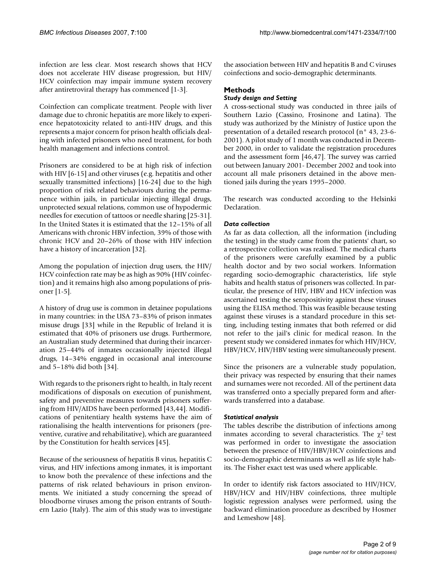infection are less clear. Most research shows that HCV does not accelerate HIV disease progression, but HIV/ HCV coinfection may impair immune system recovery after antiretroviral therapy has commenced [1-3].

Coinfection can complicate treatment. People with liver damage due to chronic hepatitis are more likely to experience hepatotoxicity related to anti-HIV drugs, and this represents a major concern for prison health officials dealing with infected prisoners who need treatment, for both health management and infections control.

Prisoners are considered to be at high risk of infection with HIV [6-15] and other viruses (e.g. hepatitis and other sexually transmitted infections) [16-24] due to the high proportion of risk related behaviours during the permanence within jails, in particular injecting illegal drugs, unprotected sexual relations, common use of hypodermic needles for execution of tattoos or needle sharing [25-31]. In the United States it is estimated that the 12–15% of all Americans with chronic HBV infection, 39% of those with chronic HCV and 20–26% of those with HIV infection have a history of incarceration [32].

Among the population of injection drug users, the HIV/ HCV coinfection rate may be as high as 90% (HIV coinfection) and it remains high also among populations of prisoner [1-5].

A history of drug use is common in detainee populations in many countries: in the USA 73–83% of prison inmates misuse drugs [33] while in the Republic of Ireland it is estimated that 40% of prisoners use drugs. Furthermore, an Australian study determined that during their incarceration 25–44% of inmates occasionally injected illegal drugs, 14–34% engaged in occasional anal intercourse and 5–18% did both [34].

With regards to the prisoners right to health, in Italy recent modifications of disposals on execution of punishment, safety and preventive measures towards prisoners suffering from HIV/AIDS have been performed [43,44]. Modifications of penitentiary health systems have the aim of rationalising the health interventions for prisoners (preventive, curative and rehabilitative), which are guaranteed by the Constitution for health services [45].

Because of the seriousness of hepatitis B virus, hepatitis C virus, and HIV infections among inmates, it is important to know both the prevalence of these infections and the patterns of risk related behaviours in prison environments. We initiated a study concerning the spread of bloodborne viruses among the prison entrants of Southern Lazio (Italy). The aim of this study was to investigate the association between HIV and hepatitis B and C viruses coinfections and socio-demographic determinants.

# **Methods**

# *Study design and Setting*

A cross-sectional study was conducted in three jails of Southern Lazio (Cassino, Frosinone and Latina). The study was authorized by the Ministry of Justice upon the presentation of a detailed research protocol (n° 43, 23-6- 2001). A pilot study of 1 month was conducted in December 2000, in order to validate the registration procedures and the assessment form [46,47]. The survey was carried out between January 2001- December 2002 and took into account all male prisoners detained in the above mentioned jails during the years 1995–2000.

The research was conducted according to the Helsinki Declaration.

# *Data collection*

As far as data collection, all the information (including the testing) in the study came from the patients' chart, so a retrospective collection was realised. The medical charts of the prisoners were carefully examined by a public health doctor and by two social workers. Information regarding socio-demographic characteristics, life style habits and health status of prisoners was collected. In particular, the presence of HIV, HBV and HCV infection was ascertained testing the seropositivity against these viruses using the ELISA method. This was feasible because testing against these viruses is a standard procedure in this setting, including testing inmates that both referred or did not refer to the jail's clinic for medical reason. In the present study we considered inmates for which HIV/HCV, HBV/HCV, HIV/HBV testing were simultaneously present.

Since the prisoners are a vulnerable study population, their privacy was respected by ensuring that their names and surnames were not recorded. All of the pertinent data was transferred onto a specially prepared form and afterwards transferred into a database.

# *Statistical analysis*

The tables describe the distribution of infections among inmates according to several characteristics. The  $\chi^2$  test was performed in order to investigate the association between the presence of HIV/HBV/HCV coinfections and socio-demographic determinants as well as life style habits. The Fisher exact test was used where applicable.

In order to identify risk factors associated to HIV/HCV, HBV/HCV and HIV/HBV coinfections, three multiple logistic regression analyses were performed, using the backward elimination procedure as described by Hosmer and Lemeshow [48].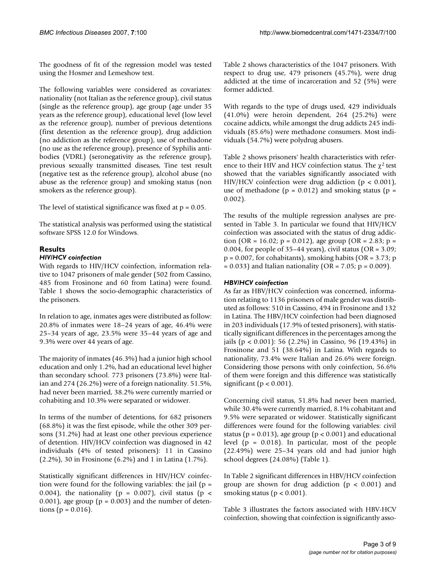The goodness of fit of the regression model was tested using the Hosmer and Lemeshow test.

The following variables were considered as covariates: nationality (not Italian as the reference group), civil status (single as the reference group), age group (age under 35 years as the reference group), educational level (low level as the reference group), number of previous detentions (first detention as the reference group), drug addiction (no addiction as the reference group), use of methadone (no use as the reference group), presence of Syphilis antibodies (VDRL) (seronegativity as the reference group), previous sexually transmitted diseases, Tine test result (negative test as the reference group), alcohol abuse (no abuse as the reference group) and smoking status (non smokers as the reference group).

The level of statistical significance was fixed at  $p = 0.05$ .

The statistical analysis was performed using the statistical software SPSS 12.0 for Windows.

# **Results**

#### *HIV/HCV coinfection*

With regards to HIV/HCV coinfection, information relative to 1047 prisoners of male gender (502 from Cassino, 485 from Frosinone and 60 from Latina) were found. Table 1 shows the socio-demographic characteristics of the prisoners.

In relation to age, inmates ages were distributed as follow: 20.8% of inmates were 18–24 years of age, 46.4% were 25–34 years of age, 23.5% were 35–44 years of age and 9.3% were over 44 years of age.

The majority of inmates (46.3%) had a junior high school education and only 1.2%, had an educational level higher than secondary school. 773 prisoners (73.8%) were Italian and 274 (26.2%) were of a foreign nationality. 51.5%, had never been married, 38.2% were currently married or cohabiting and 10.3% were separated or widower.

In terms of the number of detentions, for 682 prisoners (68.8%) it was the first episode, while the other 309 persons (31.2%) had at least one other previous experience of detention. HIV/HCV coinfection was diagnosed in 42 individuals (4% of tested prisoners): 11 in Cassino (2.2%), 30 in Frosinone (6.2%) and 1 in Latina (1.7%).

Statistically significant differences in HIV/HCV coinfection were found for the following variables: the jail ( $p =$ 0.004), the nationality ( $p = 0.007$ ), civil status ( $p <$  $(0.001)$ , age group ( $p = 0.003$ ) and the number of detentions ( $p = 0.016$ ).

Table 2 shows characteristics of the 1047 prisoners. With respect to drug use, 479 prisoners (45.7%), were drug addicted at the time of incarceration and 52 (5%) were former addicted.

With regards to the type of drugs used, 429 individuals (41.0%) were heroin dependent, 264 (25.2%) were cocaine addicts, while amongst the drug addicts 245 individuals (85.6%) were methadone consumers. Most individuals (54.7%) were polydrug abusers.

Table 2 shows prisoners' health characteristics with reference to their HIV and HCV coinfection status. The  $\chi^2$  test showed that the variables significantly associated with HIV/HCV coinfection were drug addiction ( $p < 0.001$ ), use of methadone ( $p = 0.012$ ) and smoking status ( $p =$ 0.002).

The results of the multiple regression analyses are presented in Table 3. In particular we found that HIV/HCV coinfection was associated with the status of drug addiction (OR = 16.02; p = 0.012), age group (OR = 2.83; p = 0.004, for people of  $35-44$  years), civil status (OR =  $3.09$ ;  $p = 0.007$ , for cohabitants), smoking habits (OR = 3.73; p  $= 0.033$ ) and Italian nationality (OR = 7.05; p = 0.009).

#### *HBV/HCV coinfection*

As far as HBV/HCV coinfection was concerned, information relating to 1136 prisoners of male gender was distributed as follows: 510 in Cassino, 494 in Frosinone and 132 in Latina. The HBV/HCV coinfection had been diagnosed in 203 individuals (17.9% of tested prisoners), with statistically significant differences in the percentages among the jails (p < 0.001): 56 (2.2%) in Cassino, 96 (19.43%) in Frosinone and 51 (38.64%) in Latina. With regards to nationality, 73.4% were Italian and 26.6% were foreign. Considering those persons with only coinfection, 56.6% of them were foreign and this difference was statistically significant ( $p < 0.001$ ).

Concerning civil status, 51.8% had never been married, while 30.4% were currently married, 8.1% cohabitant and 9.5% were separated or widower. Statistically significant differences were found for the following variables: civil status ( $p = 0.013$ ), age group ( $p < 0.001$ ) and educational level ( $p = 0.018$ ). In particular, most of the people (22.49%) were 25–34 years old and had junior high school degrees (24.08%) (Table 1).

In Table 2 significant differences in HBV/HCV coinfection group are shown for drug addiction ( $p < 0.001$ ) and smoking status ( $p < 0.001$ ).

Table 3 illustrates the factors associated with HBV-HCV coinfection, showing that coinfection is significantly asso-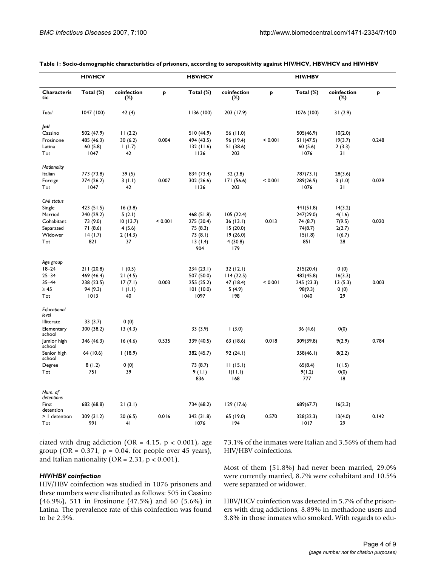|                       | <b>HIV/HCV</b> |                       |         | <b>HBV/HCV</b> |                       |         | <b>HIV/HBV</b> |                       |       |
|-----------------------|----------------|-----------------------|---------|----------------|-----------------------|---------|----------------|-----------------------|-------|
| Characteris<br>tic    | Total (%)      | coinfection<br>$(\%)$ | p       | Total (%)      | coinfection<br>$(\%)$ | p       | Total (%)      | coinfection<br>$(\%)$ | P     |
| Total                 | 1047 (100)     | 42 (4)                |         | 1136(100)      | 203 (17.9)            |         | 1076 (100)     | 31(2.9)               |       |
| Jail                  |                |                       |         |                |                       |         |                |                       |       |
| Cassino               | 502 (47.9)     | 11(2.2)               |         | 510 (44.9)     | 56 (11.0)             |         | 505(46.9)      | 10(2.0)               |       |
| Frosinone             | 485 (46.3)     | 30(6.2)               | 0.004   | 494 (43.5)     | 96 (19.4)             | < 0.001 | 511(47.5)      | 19(3.7)               | 0.248 |
| Latina                | 60(5.8)        | 1(1.7)                |         | 132(11.6)      | 51 (38.6)             |         | 60(5.6)        | 2(3.3)                |       |
| Tot                   | 1047           | 42                    |         | 1136           | 203                   |         | 1076           | 31                    |       |
| Nationality           |                |                       |         |                |                       |         |                |                       |       |
| Italian               | 773 (73.8)     | 39(5)                 |         | 834 (73.4)     | 32(3.8)               |         | 787(73.1)      | 28(3.6)               |       |
| Foreign               | 274 (26.2)     | 3(1.1)                | 0.007   | 302 (26.6)     | 171 (56.6)            | < 0.001 | 289(26.9)      | 3(1.0)                | 0.029 |
| Tot                   | 1047           | 42                    |         | 1136           | 203                   |         | 1076           | 31                    |       |
| Civil status          |                |                       |         |                |                       |         |                |                       |       |
| Single                | 423 (51.5)     | 16(3.8)               |         |                |                       |         | 441(51.8)      | 14(3.2)               |       |
| Married               | 240 (29.2)     | 5(2.1)                |         | 468 (51.8)     | 105(22.4)             |         | 247(29.0)      | 4(1.6)                |       |
| Cohabitant            | 73 (9.0)       | 10(13.7)              | < 0.001 | 275 (30.4)     | 36(13.1)              | 0.013   | 74 (8.7)       | 7(9.5)                | 0.020 |
| Separated             | 71 (8.6)       | 4(5.6)                |         | 75 (8.3)       | 15(20.0)              |         | 74(8.7)        | 2(2.7)                |       |
| Widower               | 14(1.7)        | 2(14.3)               |         | 73(8.1)        | 19(26.0)              |         | 15(1.8)        | 1(6.7)                |       |
| Tot                   | 821            | 37                    |         | 13(1.4)        | 4 (30.8)              |         | 851            | 28                    |       |
|                       |                |                       |         | 904            | 179                   |         |                |                       |       |
| Age group             |                |                       |         |                |                       |         |                |                       |       |
| $18 - 24$             | 211 (20.8)     | 1(0.5)                |         | 234(23.1)      | 32 (12.1)             |         | 215(20.4)      | 0(0)                  |       |
| $25 - 34$             | 469 (46.4)     | 21(4.5)               |         | 507 (50.0)     | 114(22.5)             |         | 482(45.8)      | 16(3.3)               |       |
| $35 - 44$             | 238 (23.5)     | 17(7.1)               | 0.003   | 255 (25.2)     | 47 (18.4)             | < 0.001 | 245 (23.3)     | 13(5.3)               | 0.003 |
| $\geq 45$             | 94 (9.3)       | 1(1.1)                |         | 101(10.0)      | 5(4.9)                |         | 98(9.3)        | 0(0)                  |       |
| Tot                   | 1013           | 40                    |         | 1097           | 198                   |         | 1040           | 29                    |       |
| Educational<br>level  |                |                       |         |                |                       |         |                |                       |       |
| <b>Illiterate</b>     | 33 (3.7)       | 0(0)                  |         |                |                       |         |                |                       |       |
| Elementary<br>school  | 300 (38.2)     | 13(4.3)               |         | 33(3.9)        | (3.0)                 |         | 36(4.6)        | 0(0)                  |       |
| Jumior high<br>school | 346 (46.3)     | 16(4.6)               | 0.535   | 339 (40.5)     | 63(18.6)              | 0.018   | 309(39.8)      | 9(2.9)                | 0.784 |
| Senior high<br>school | 64 (10.6)      | 1(18.9)               |         | 382 (45.7)     | 92(24.1)              |         | 358(46.1)      | 8(2.2)                |       |
| Degree                | 8(1.2)         | 0(0)                  |         | 73 (8.7)       | 11(15.1)              |         | 65(8.4)        | 1(1.5)                |       |
| Tot                   | 751            | 39                    |         | 9(1.1)         | 1(11.1)               |         | 9(1.2)         | 0(0)                  |       |
|                       |                |                       |         | 836            | 168                   |         | 777            | 18                    |       |
| Num. of<br>detentions |                |                       |         |                |                       |         |                |                       |       |
| First<br>detention    | 682 (68.8)     | 21(3.1)               |         | 734 (68.2)     | 129 (17.6)            |         | 689(67.7)      | 16(2.3)               |       |
| >   detention         | 309 (31.2)     | 20(6.5)               | 0.016   | 342 (31.8)     | 65 (19.0)             | 0.570   | 328(32.3)      | 13(4.0)               | 0.142 |
| Tot                   | 991            | 41                    |         | 1076           | 194                   |         | 1017           | 29                    |       |
|                       |                |                       |         |                |                       |         |                |                       |       |

**Table 1: Socio-demographic characteristics of prisoners, according to seropositivity against HIV/HCV, HBV/HCV and HIV/HBV**

ciated with drug addiction (OR =  $4.15$ , p <  $0.001$ ), age group (OR =  $0.371$ , p =  $0.04$ , for people over 45 years), and Italian nationality (OR =  $2.31$ , p <  $0.001$ ).

#### *HIV/HBV coinfection*

HIV/HBV coinfection was studied in 1076 prisoners and these numbers were distributed as follows: 505 in Cassino (46.9%), 511 in Frosinone (47.5%) and 60 (5.6%) in Latina. The prevalence rate of this coinfection was found to be 2.9%.

73.1% of the inmates were Italian and 3.56% of them had HIV/HBV coinfections.

Most of them (51.8%) had never been married, 29.0% were currently married, 8.7% were cohabitant and 10.5% were separated or widower.

HBV/HCV coinfection was detected in 5.7% of the prisoners with drug addictions, 8.89% in methadone users and 3.8% in those inmates who smoked. With regards to edu-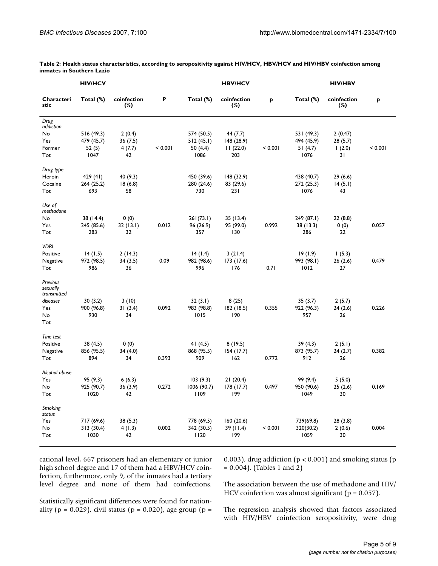| <b>HIV/HCV</b>                                         |                       |                    | <b>HBV/HCV</b> |                       |                       | <b>HIV/HBV</b> |                       |                       |         |
|--------------------------------------------------------|-----------------------|--------------------|----------------|-----------------------|-----------------------|----------------|-----------------------|-----------------------|---------|
| Characteri<br>stic                                     | Total (%)             | coinfection<br>(%) | P              | Total (%)             | coinfection<br>$(\%)$ | p              | Total (%)             | coinfection<br>$(\%)$ | P       |
| Drug<br>addiction                                      |                       |                    |                |                       |                       |                |                       |                       |         |
| No                                                     | 516 (49.3)            | 2(0.4)             |                | 574 (50.5)            | 44 (7.7)              |                | 531 (49.3)            | 2(0.47)               |         |
| Yes                                                    | 479 (45.7)            | 36(7.5)            |                | 512(45.1)             | 148 (28.9)            |                | 494 (45.9)            | 28 (5.7)              |         |
| Former                                                 | 52(5)                 | 4(7.7)             | < 0.001        | 50 (4.4)              | 11(22.0)              | < 0.001        | 51(4.7)               | 1(2.0)                | < 0.001 |
| Tot                                                    | 1047                  | 42                 |                | 1086                  | 203                   |                | 1076                  | 31                    |         |
| Drug type                                              |                       |                    |                |                       |                       |                |                       |                       |         |
| Heroin                                                 | 429 (41)              | 40 (9.3)           |                | 450 (39.6)            | 148 (32.9)            |                | 438 (40.7)            | 29 (6.6)              |         |
| Cocaine                                                | 264(25.2)             | 18(6.8)            |                | 280 (24.6)            | 83 (29.6)             |                | 272 (25.3)            | 14(5.1)               |         |
| Tot                                                    | 693                   | 58                 |                | 730                   | 231                   |                | 1076                  | 43                    |         |
| Use of<br>methadone                                    |                       |                    |                |                       |                       |                |                       |                       |         |
| No                                                     | 38 (14.4)             | 0(0)               |                | 261(73.1)             | 35 (13.4)             |                | 249 (87.1)            | 22 (8.8)              |         |
| Yes                                                    | 245 (85.6)            | 32(13.1)           | 0.012          | 96 (26.9)             | 95 (99.0)             | 0.992          | 38 (13.3)             | 0(0)                  | 0.057   |
| Tot                                                    | 283                   | 32                 |                | 357                   | 130                   |                | 286                   | 22                    |         |
| <b>VDRL</b>                                            |                       |                    |                |                       |                       |                |                       |                       |         |
| Positive                                               | 14(1.5)               | 2(14.3)            |                | 14(1.4)               | 3(21.4)               |                | 19(1.9)               | 1(5.3)                |         |
| Negative                                               | 972 (98.5)            | 34 (3.5)           | 0.09           | 982 (98.6)            | 173 (17.6)            |                | 993 (98.1)            | 26 (2.6)              | 0.479   |
| Tot                                                    | 986                   | 36                 |                | 996                   | 176                   | 0.71           | 1012                  | 27                    |         |
| Previous<br>sexually<br>transmitted<br>diseases<br>Yes | 30(3.2)<br>900 (96.8) | 3(10)<br>31(3.4)   | 0.092          | 32(3.1)<br>983 (98.8) | 8(25)<br>182 (18.5)   | 0.355          | 35(3.7)<br>922 (96.3) | 2(5.7)<br>24(2.6)     | 0.226   |
| <b>No</b>                                              | 930                   | 34                 |                | 1015                  | 190                   |                | 957                   | 26                    |         |
| Tot                                                    |                       |                    |                |                       |                       |                |                       |                       |         |
| Tine test                                              |                       |                    |                |                       |                       |                |                       |                       |         |
| Positive                                               | 38 (4.5)              | 0(0)               |                | 41 $(4.5)$            | 8(19.5)               |                | 39 (4.3)              | 2(5.1)                |         |
| Negative                                               | 856 (95.5)            | 34 (4.0)           |                | 868 (95.5)            | 154 (17.7)            |                | 873 (95.7)            | 24 (2.7)              | 0.382   |
| Tot                                                    | 894                   | 34                 | 0.393          | 909                   | 162                   | 0.772          | 912                   | 26                    |         |
| Alcohol abuse                                          |                       |                    |                |                       |                       |                |                       |                       |         |
| Yes                                                    | 95(9.3)               | 6(6.3)             |                | 103(9.3)              | 21(20.4)              |                | 99 (9.4)              | 5(5.0)                |         |
| No                                                     | 925 (90.7)            | 36 (3.9)           | 0.272          | 1006 (90.7)           | 178 (17.7)            | 0.497          | 950 (90.6)            | 25(2.6)               | 0.169   |
| Tot                                                    | 1020                  | 42                 |                | 1109                  | 199                   |                | 1049                  | 30                    |         |
| Smoking<br>status                                      |                       |                    |                |                       |                       |                |                       |                       |         |
| Yes                                                    | 717 (69.6)            | 38 (5.3)           |                | 778 (69.5)            | 160(20.6)             |                | 739(69.8)             | 28 (3.8)              |         |
| No                                                     | 313(30.4)             | 4(1.3)             | 0.002          | 342 (30.5)            | 39 (11.4)             | < 0.001        | 320(30.2)             | 2(0.6)                | 0.004   |
| Tot                                                    | 1030                  | 42                 |                | 1120                  | 199                   |                | 1059                  | 30                    |         |
|                                                        |                       |                    |                |                       |                       |                |                       |                       |         |

**Table 2: Health status characteristics, according to seropositivity against HIV/HCV, HBV/HCV and HIV/HBV coinfection among inmates in Southern Lazio**

cational level, 667 prisoners had an elementary or junior high school degree and 17 of them had a HBV/HCV coinfection, furthermore, only 9, of the inmates had a tertiary level degree and none of them had coinfections.

0.003), drug addiction ( $p < 0.001$ ) and smoking status ( $p$ = 0.004). (Tables 1 and 2)

The association between the use of methadone and HIV/ HCV coinfection was almost significant ( $p = 0.057$ ).

Statistically significant differences were found for nationality ( $p = 0.029$ ), civil status ( $p = 0.020$ ), age group ( $p = 0.029$ )

The regression analysis showed that factors associated with HIV/HBV coinfection seropositivity, were drug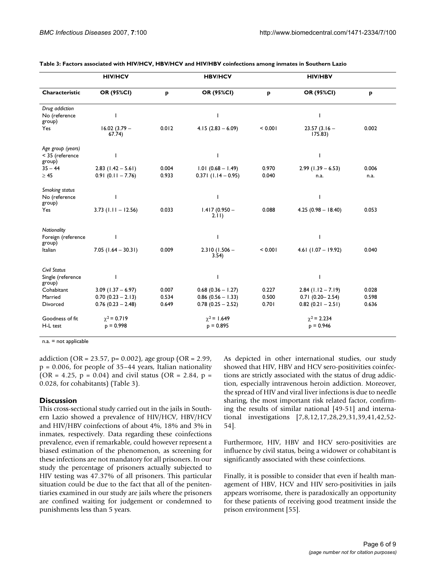|                              | <b>HIV/HCV</b>           |       | <b>HBV/HCV</b>           |         | <b>HIV/HBV</b>            |       |  |
|------------------------------|--------------------------|-------|--------------------------|---------|---------------------------|-------|--|
| Characteristic               | OR (95%CI)               | p     | OR (95%CI)               | p       | OR (95%CI)                | p     |  |
| Drug addiction               |                          |       |                          |         |                           |       |  |
| No (reference<br>group)      |                          |       |                          |         |                           |       |  |
| Yes                          | $16.02(3.79 -$<br>67.74) | 0.012 | $4.15(2.83 - 6.09)$      | < 0.001 | $23.57(3.16 -$<br>175.83) | 0.002 |  |
| Age group (years)            |                          |       |                          |         |                           |       |  |
| < 35 (reference<br>group)    |                          |       |                          |         | ı                         |       |  |
| $35 - 44$                    | $2.83$ (1.42 – 5.61)     | 0.004 | $1.01 (0.68 - 1.49)$     | 0.970   | $2.99$ (1.39 – 6.53)      | 0.006 |  |
| $\geq 45$                    | $0.91(0.11 - 7.76)$      | 0.933 | $0.371(1.14 - 0.95)$     | 0.040   | n.a.                      | n.a.  |  |
| Smoking status               |                          |       |                          |         |                           |       |  |
| No (reference<br>group)      |                          |       |                          |         |                           |       |  |
| Yes                          | $3.73$ (1.11 - 12.56)    | 0.033 | $1.417(0.950 -$<br>2.11) | 0.088   | $4.25(0.98 - 18.40)$      | 0.053 |  |
| Nationality                  |                          |       |                          |         |                           |       |  |
| Foreign (reference<br>group) |                          |       |                          |         |                           |       |  |
| Italian                      | $7.05(1.64 - 30.31)$     | 0.009 | $2.310(1.506 -$<br>3.54) | < 0.001 | $4.61$ (1.07 - 19.92)     | 0.040 |  |
| Civil Status                 |                          |       |                          |         |                           |       |  |
| Single (reference<br>group)  |                          |       |                          |         |                           |       |  |
| Cohabitant                   | $3.09$ (1.37 – 6.97)     | 0.007 | $0.68$ (0.36 - 1.27)     | 0.227   | $2.84$ (1.12 - 7.19)      | 0.028 |  |
| Married                      | $0.70(0.23 - 2.13)$      | 0.534 | $0.86$ (0.56 - 1.33)     | 0.500   | $0.71(0.20 - 2.54)$       | 0.598 |  |
| Divorced                     | $0.76$ (0.23 - 2.48)     | 0.649 | $0.78(0.25 - 2.52)$      | 0.701   | $0.82(0.21 - 2.51)$       | 0.636 |  |
| Goodness of fit              | $\gamma^2$ = 0.719       |       | $\gamma^2$ = 1.649       |         | $\gamma^2$ = 2.234        |       |  |
| H-L test                     | $p = 0.998$              |       | $p = 0.895$              |         | $p = 0.946$               |       |  |

**Table 3: Factors associated with HIV/HCV, HBV/HCV and HIV/HBV coinfections among inmates in Southern Lazio**

n.a. = not applicable

addiction (OR = 23.57, p= 0.002), age group (OR = 2.99,  $p = 0.006$ , for people of 35–44 years, Italian nationality  $(OR = 4.25, p = 0.04)$  and civil status  $(OR = 2.84, p = 1.04)$ 0.028, for cohabitants) (Table 3).

# **Discussion**

This cross-sectional study carried out in the jails in Southern Lazio showed a prevalence of HIV/HCV, HBV/HCV and HIV/HBV coinfections of about 4%, 18% and 3% in inmates, respectively. Data regarding these coinfections prevalence, even if remarkable, could however represent a biased estimation of the phenomenon, as screening for these infections are not mandatory for all prisoners. In our study the percentage of prisoners actually subjected to HIV testing was 47.37% of all prisoners. This particular situation could be due to the fact that all of the penitentiaries examined in our study are jails where the prisoners are confined waiting for judgement or condemned to punishments less than 5 years.

As depicted in other international studies, our study showed that HIV, HBV and HCV sero-positivities coinfections are strictly associated with the status of drug addiction, especially intravenous heroin addiction. Moreover, the spread of HIV and viral liver infections is due to needle sharing, the most important risk related factor, confirming the results of similar national [49-51] and international investigations [7,8,12,17,28,29,31,39,41,42,52- 54].

Furthermore, HIV, HBV and HCV sero-positivities are influence by civil status, being a widower or cohabitant is significantly associated with these coinfections.

Finally, it is possible to consider that even if health management of HBV, HCV and HIV sero-positivities in jails appears worrisome, there is paradoxically an opportunity for these patients of receiving good treatment inside the prison environment [55].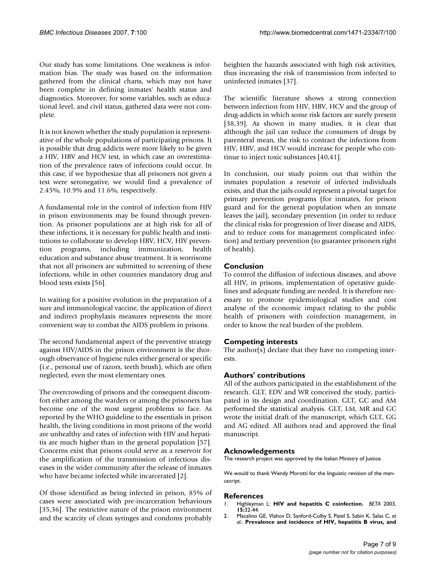Our study has some limitations. One weakness is information bias. The study was based on the information gathered from the clinical charts, which may not have been complete in defining inmates' health status and diagnostics. Moreover, for some variables, such as educational level, and civil status, gathered data were not complete.

It is not known whether the study population is representative of the whole populations of participating prisons. It is possible that drug addicts were more likely to be given a HIV, HBV and HCV test, in which case an overestimation of the prevalence rates of infections could occur. In this case, if we hypothesize that all prisoners not given a test were seronegative, we would find a prevalence of 2.45%, 10.9% and 11.6%, respectively.

A fundamental role in the control of infection from HIV in prison environments may be found through prevention. As prisoner populations are at high risk for all of these infections, it is necessary for public health and institutions to collaborate to develop HBV, HCV, HIV prevention programs, including immunization, health education and substance abuse treatment. It is worrisome that not all prisoners are submitted to screening of these infections, while in other countries mandatory drug and blood tests exists [56].

In waiting for a positive evolution in the preparation of a sure and immunological vaccine, the application of direct and indirect prophylaxis measures represents the more convenient way to combat the AIDS problem in prisons.

The second fundamental aspect of the preventive strategy against HIV/AIDS in the prison environment is the thorough observance of hygiene rules either general or specific (i.e., personal use of razors, teeth brush), which are often neglected, even the most elementary ones.

The overcrowding of prisons and the consequent discomfort either among the warders or among the prisoners has become one of the most urgent problems to face. As reported by the WHO guideline to the essentials in prison health, the living conditions in most prisons of the world are unhealthy and rates of infection with HIV and hepatitis are much higher than in the general population [57]. Concerns exist that prisons could serve as a reservoir for the amplification of the transmission of infectious diseases in the wider community after the release of inmates who have became infected while incarcerated [2].

Of those identified as being infected in prison, 85% of cases were associated with pre-incarceration behaviours [35,36]. The restrictive nature of the prison environment and the scarcity of clean syringes and condoms probably heighten the hazards associated with high risk activities, thus increasing the risk of transmission from infected to uninfected inmates [37].

The scientific literature shows a strong connection between infection from HIV, HBV, HCV and the group of drug-addicts in which some risk factors are surely present [38,39]. As shown in many studies, it is clear that although the jail can reduce the consumers of drugs by parenteral mean, the risk to contract the infections from HIV, HBV, and HCV would increase for people who continue to inject toxic substances [40,41].

In conclusion, our study points out that within the inmates population a resevoir of infected individuals exists, and that the jails could represent a pivotal target for primary prevention programs (for inmates, for prison guard and for the general population when an inmate leaves the jail), secondary prevention (in order to reduce the clinical risks for progression of liver disease and AIDS, and to reduce costs for management complicated infection) and tertiary prevention (to guarantee prisoners right of health).

# **Conclusion**

To control the diffusion of infectious diseases, and above all HIV, in prisons, implementation of operative guidelines and adequate funding are needed. It is therefore necessary to promote epidemiological studies and cost analyse of the economic impact relating to the public health of prisoners with coinfection management, in order to know the real burden of the problem.

# **Competing interests**

The author(s) declare that they have no competing interests.

# **Authors' contributions**

All of the authors participated in the establishment of the research. GLT, EDV and WR conceived the study, participated in its design and coordination. GLT, GC and AM performed the statistical analysis. GLT, LM, MR and GC wrote the initial draft of the manuscript, which GLT, GG and AG edited. All authors read and approved the final manuscript.

#### **Acknowledgements**

The research project was approved by the Italian Ministry of Justice.

We would to thank Wendy Morotti for the linguistic revision of the manuscript.

#### **References**

- 1. Highleyman L: **[HIV and hepatitis C coinfection.](http://www.ncbi.nlm.nih.gov/entrez/query.fcgi?cmd=Retrieve&db=PubMed&dopt=Abstract&list_uids=12691036)** *BETA* 2003, **15:**32-44.
- 2. Macalino GE, Vlahov D, Sanford-Colby S, Patel S, Sabin K, Salas C, *et al.*: **[Prevalence and incidence of HIV, hepatitis B virus, and](http://www.ncbi.nlm.nih.gov/entrez/query.fcgi?cmd=Retrieve&db=PubMed&dopt=Abstract&list_uids=15226146)**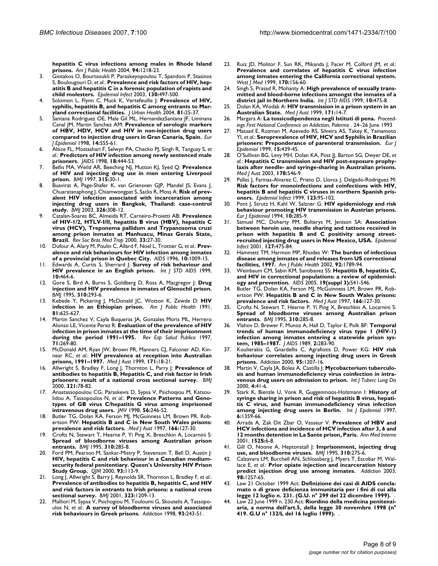**[hepatitis C virus infections among males in Rhode Island](http://www.ncbi.nlm.nih.gov/entrez/query.fcgi?cmd=Retrieve&db=PubMed&dopt=Abstract&list_uids=15226146) [prisons.](http://www.ncbi.nlm.nih.gov/entrez/query.fcgi?cmd=Retrieve&db=PubMed&dopt=Abstract&list_uids=15226146)** *Am J Public Health* 2004, **94:**1218-23.

- 3. Giotakos O, Bourtsoukli P, Paraskeyopoulou T, Spandoni P, Stasinos S, Boulougouri D, *et al.*: **[Prevalence and risk factors of HIV, hep](http://www.ncbi.nlm.nih.gov/entrez/query.fcgi?cmd=Retrieve&db=PubMed&dopt=Abstract&list_uids=12825735)[atitis B and hepatitis C in a forensic population of rapists and](http://www.ncbi.nlm.nih.gov/entrez/query.fcgi?cmd=Retrieve&db=PubMed&dopt=Abstract&list_uids=12825735) [child molesters.](http://www.ncbi.nlm.nih.gov/entrez/query.fcgi?cmd=Retrieve&db=PubMed&dopt=Abstract&list_uids=12825735)** *Epidemiol Infect* 2003, **130:**497-500.
- 4. Solomon L, Flynn C, Muck K, Vertefeuille J: **[Prevalence of HIV,](http://www.ncbi.nlm.nih.gov/entrez/query.fcgi?cmd=Retrieve&db=PubMed&dopt=Abstract&list_uids=15047781) [syphilis, hepatitis B, and hepatitis C among entrants to Mar](http://www.ncbi.nlm.nih.gov/entrez/query.fcgi?cmd=Retrieve&db=PubMed&dopt=Abstract&list_uids=15047781)[yland correctional facilities.](http://www.ncbi.nlm.nih.gov/entrez/query.fcgi?cmd=Retrieve&db=PubMed&dopt=Abstract&list_uids=15047781)** *J Urban Health* 2004, **81:**25-37.
- 5. Santana Rodriguez OE, Male Gil ML, HernandezSantana JF, Liminana Canal JM, Martin Sanchez AM: **[Prevalence of serologic markers](http://www.ncbi.nlm.nih.gov/entrez/query.fcgi?cmd=Retrieve&db=PubMed&dopt=Abstract&list_uids=9794122) [of HBV, HDV, HCV and HIV in non-injection drug users](http://www.ncbi.nlm.nih.gov/entrez/query.fcgi?cmd=Retrieve&db=PubMed&dopt=Abstract&list_uids=9794122) [compared to injection drug users in Gran Canaria, Spain.](http://www.ncbi.nlm.nih.gov/entrez/query.fcgi?cmd=Retrieve&db=PubMed&dopt=Abstract&list_uids=9794122)** *Eur J Epidemiol* 1998, **14:**555-61.
- 6. Altice FL, Mostashari F, Selwyn PA, Checko PJ, Singh R, Tanguay S, *et al.*: **[Predictors of HIV infection among newly sentenced male](http://www.ncbi.nlm.nih.gov/entrez/query.fcgi?cmd=Retrieve&db=PubMed&dopt=Abstract&list_uids=9715840) [prisoners.](http://www.ncbi.nlm.nih.gov/entrez/query.fcgi?cmd=Retrieve&db=PubMed&dopt=Abstract&list_uids=9715840)** *JAIDS* 1998, **18:**444-53.
- 7. Bellis MA, Weild AR, Beeching NJ, Mutton KJ, Syed Q: **[Prevalence](http://www.ncbi.nlm.nih.gov/entrez/query.fcgi?cmd=Retrieve&db=PubMed&dopt=Abstract&list_uids=9233323) [of HIV and injecting drug use in men entering Liverpool](http://www.ncbi.nlm.nih.gov/entrez/query.fcgi?cmd=Retrieve&db=PubMed&dopt=Abstract&list_uids=9233323) [prison.](http://www.ncbi.nlm.nih.gov/entrez/query.fcgi?cmd=Retrieve&db=PubMed&dopt=Abstract&list_uids=9233323)** *BMJ* 1997, **315:**30-1.
- 8. Buavirat A, Page-Shafer K, van Griensven GJP, Mandel JS, Evans J, Chuaratanaphong J, Chiamwongpat S, Sacks R, Moss A: **[Risk of prev](http://www.ncbi.nlm.nih.gov/entrez/query.fcgi?cmd=Retrieve&db=PubMed&dopt=Abstract&list_uids=12574043)alent HIV infection associated with incarceration among [injecting drug users in Bangkok, Thailand: case-control](http://www.ncbi.nlm.nih.gov/entrez/query.fcgi?cmd=Retrieve&db=PubMed&dopt=Abstract&list_uids=12574043) [study.](http://www.ncbi.nlm.nih.gov/entrez/query.fcgi?cmd=Retrieve&db=PubMed&dopt=Abstract&list_uids=12574043)** *BMJ* 2003, **326:**308-12.
- 9. Catalan-Soares BC, Almeida RT, Carneiro-Proietti AB: **[Prevalence](http://www.ncbi.nlm.nih.gov/entrez/query.fcgi?cmd=Retrieve&db=PubMed&dopt=Abstract&list_uids=10881115) of HIV-1/2, HTLV-I/II, hepatitis B virus (HBV), hepatitis C [virus \(HCV\), Treponema pallidum and Trypanosoma cruzi](http://www.ncbi.nlm.nih.gov/entrez/query.fcgi?cmd=Retrieve&db=PubMed&dopt=Abstract&list_uids=10881115) among prison inmates at Manhuacu, Minas Gerais State, [Brazil.](http://www.ncbi.nlm.nih.gov/entrez/query.fcgi?cmd=Retrieve&db=PubMed&dopt=Abstract&list_uids=10881115)** *Rev Soc Bras Med Trop* 2000, **33:**27-30.
- 10. Dufour A, Alary M, Poulin C, Allard F, Noel L, Trottier G, *et al.*: **[Prev](http://www.ncbi.nlm.nih.gov/entrez/query.fcgi?cmd=Retrieve&db=PubMed&dopt=Abstract&list_uids=8853735)[alence and risk behaviours for HIV infection among inmates](http://www.ncbi.nlm.nih.gov/entrez/query.fcgi?cmd=Retrieve&db=PubMed&dopt=Abstract&list_uids=8853735) [of a provincial prison in Quebec City.](http://www.ncbi.nlm.nih.gov/entrez/query.fcgi?cmd=Retrieve&db=PubMed&dopt=Abstract&list_uids=8853735)** *AIDS* 1996, **10:**1009-15.
- 11. Edwards A, Curtis S, Sherrard J: **[Survey of risk behaviour and](http://www.ncbi.nlm.nih.gov/entrez/query.fcgi?cmd=Retrieve&db=PubMed&dopt=Abstract&list_uids=10454182) [HIV prevalence in an English prison.](http://www.ncbi.nlm.nih.gov/entrez/query.fcgi?cmd=Retrieve&db=PubMed&dopt=Abstract&list_uids=10454182)** *Int J STD AIDS* 1999, **10:**464-6.
- 12. Gore S, Bird A, Burns S, Goldberg D, Ross A, Macgregor J: **[Drug](http://www.ncbi.nlm.nih.gov/entrez/query.fcgi?cmd=Retrieve&db=PubMed&dopt=Abstract&list_uids=7866170) [injection and HIV prevalence in inmates of Glenochil prison.](http://www.ncbi.nlm.nih.gov/entrez/query.fcgi?cmd=Retrieve&db=PubMed&dopt=Abstract&list_uids=7866170)** *BMJ* 1995, **310:**293-6.
- 13. Kebede Y, Pickering J, McDonald JC, Wotton K, Zewde D: **[HIV](http://www.ncbi.nlm.nih.gov/entrez/query.fcgi?cmd=Retrieve&db=PubMed&dopt=Abstract&list_uids=2014865) [infection in an Ethiopian prison.](http://www.ncbi.nlm.nih.gov/entrez/query.fcgi?cmd=Retrieve&db=PubMed&dopt=Abstract&list_uids=2014865)** *Am J Public Health* 1991, **81:**625-627.
- 14. Martin Sanchez V, Cayla Buqueras JA, Gonzales Moris ML, Herrero Alonso LE, Vicente Perez R: **[Evaluation of the prevalence of HIV](http://www.ncbi.nlm.nih.gov/entrez/query.fcgi?cmd=Retrieve&db=PubMed&dopt=Abstract&list_uids=9445755) [infection in prison inmates at the time of their imprisonment](http://www.ncbi.nlm.nih.gov/entrez/query.fcgi?cmd=Retrieve&db=PubMed&dopt=Abstract&list_uids=9445755) [during the period 1991–1995.](http://www.ncbi.nlm.nih.gov/entrez/query.fcgi?cmd=Retrieve&db=PubMed&dopt=Abstract&list_uids=9445755)** *Rev Esp Salud Publica* 1997, **71:**269-80.
- 15. McDonald AM, Ryan JW, Brown PR, Manners CJ, Falconer AD, Kinnear RC, *et al.*: **[HIV prevalence at reception into Australian](http://www.ncbi.nlm.nih.gov/entrez/query.fcgi?cmd=Retrieve&db=PubMed&dopt=Abstract&list_uids=10451666) [prisons, 1991–1997.](http://www.ncbi.nlm.nih.gov/entrez/query.fcgi?cmd=Retrieve&db=PubMed&dopt=Abstract&list_uids=10451666)** *Med J Aust* 1999, **171:**18-21.
- 16. Allwright S, Bradley F, Long J, Thornton L, Parry J: **[Prevalence of](http://www.ncbi.nlm.nih.gov/entrez/query.fcgi?cmd=Retrieve&db=PubMed&dopt=Abstract&list_uids=10884256) [antibodies to hepatitis B, Hepatitis C, and risk factor in Irish](http://www.ncbi.nlm.nih.gov/entrez/query.fcgi?cmd=Retrieve&db=PubMed&dopt=Abstract&list_uids=10884256) [prisoners: result of a national cross sectional survey.](http://www.ncbi.nlm.nih.gov/entrez/query.fcgi?cmd=Retrieve&db=PubMed&dopt=Abstract&list_uids=10884256)** *BMJ* 2000, **321:**78-82.
- 17. Anastassopoulou CG, Paraskevis D, Sypsa V, Psichoqiou M, Katsoulidou A, Tassopoulos N, *et al.*: **Prevalence Patterns and Genotypes of GB virus C/hepatitis G virus among imprisoned intravenous drug users.** *JMV* 1998, **56:**246-52.
- 18. Butler TG, Dolan KA, Ferson MJ, McGuinness LM, Brown PR, Robertson PW: **[Hepatitis B and C in New South Wales prisons:](http://www.ncbi.nlm.nih.gov/entrez/query.fcgi?cmd=Retrieve&db=PubMed&dopt=Abstract&list_uids=9059433) [prevalence and risk factors.](http://www.ncbi.nlm.nih.gov/entrez/query.fcgi?cmd=Retrieve&db=PubMed&dopt=Abstract&list_uids=9059433)** *Med J Aust* 1997, **166:**127-30.
- 19. Crofts N, Stewart T, Hearne P, Yi Ping X, Breschkin A, Locarnini S: **[Spread of bloodborne viruses among Australian prison](http://www.ncbi.nlm.nih.gov/entrez/query.fcgi?cmd=Retrieve&db=PubMed&dopt=Abstract&list_uids=7866168) [entrants.](http://www.ncbi.nlm.nih.gov/entrez/query.fcgi?cmd=Retrieve&db=PubMed&dopt=Abstract&list_uids=7866168)** *BMJ* 1995, **310:**285-8.
- 20. Ford PM, Pearson M, Sankar-Mistry P, Stevenson T, Bell D, Austin J: **HIV, hepatitis C and risk behaviour in a Canadian medium[security federal penitentiary. Queen's University HIV Prison](http://www.ncbi.nlm.nih.gov/entrez/query.fcgi?cmd=Retrieve&db=PubMed&dopt=Abstract&list_uids=10700482) [Study Group.](http://www.ncbi.nlm.nih.gov/entrez/query.fcgi?cmd=Retrieve&db=PubMed&dopt=Abstract&list_uids=10700482)** *QJM* 2000, **93:**113-9.
- 21. Long J, Allwright S, Barry J, Reynolds SR, Thornton L, Bradley F, et al.: **Prevalence of antibodies to hepatitis B, hepatitis C, and HIV [and risk factors in entrants to Irish prisons: a national cross](http://www.ncbi.nlm.nih.gov/entrez/query.fcgi?cmd=Retrieve&db=PubMed&dopt=Abstract&list_uids=11719410) [sectional survey.](http://www.ncbi.nlm.nih.gov/entrez/query.fcgi?cmd=Retrieve&db=PubMed&dopt=Abstract&list_uids=11719410)** *BMJ* 2001, **323:**1209-13.
- 22. Malliori M, Sypsa V, Psichogiou M, Touloumi G, Skoutelis A, Tassopoulos N, *et al.*: **[A survey of bloodborne viruses and associated](http://www.ncbi.nlm.nih.gov/entrez/query.fcgi?cmd=Retrieve&db=PubMed&dopt=Abstract&list_uids=9624725) [risk behaviours in Greek prisons.](http://www.ncbi.nlm.nih.gov/entrez/query.fcgi?cmd=Retrieve&db=PubMed&dopt=Abstract&list_uids=9624725)** *Addiction* 1998, **93:**243-51.
- 23. Ruiz JD, Molitor F, Sun RK, Mikanda J, Facer M, Colford JM, *et al.*: **Prevalence and correlates of hepatitis C virus infection [among inmates entering the California correctional system.](http://www.ncbi.nlm.nih.gov/entrez/query.fcgi?cmd=Retrieve&db=PubMed&dopt=Abstract&list_uids=10214102)** *West J Med* 1999, **170:**156-60.
- 24. Singh S, Prasad R, Mohanty A: **[High prevalence of sexually trans](http://www.ncbi.nlm.nih.gov/entrez/query.fcgi?cmd=Retrieve&db=PubMed&dopt=Abstract&list_uids=10454185)[mitted and blood-borne infections amongst the inmates of a](http://www.ncbi.nlm.nih.gov/entrez/query.fcgi?cmd=Retrieve&db=PubMed&dopt=Abstract&list_uids=10454185) [district jail in Northern India.](http://www.ncbi.nlm.nih.gov/entrez/query.fcgi?cmd=Retrieve&db=PubMed&dopt=Abstract&list_uids=10454185)** *Int J STD AIDS* 1999, **10:**475-8.
- 25. Dolan KA, Wodak A: **[HIV transmission in a prison system in an](http://www.ncbi.nlm.nih.gov/entrez/query.fcgi?cmd=Retrieve&db=PubMed&dopt=Abstract&list_uids=10451665) [Australian State.](http://www.ncbi.nlm.nih.gov/entrez/query.fcgi?cmd=Retrieve&db=PubMed&dopt=Abstract&list_uids=10451665)** *Med J Aust* 1999, **171:**14-7.
- 26. Margara A: **La tossicodipendenza negli Istituti di pena.** *Proceedings First National Conference on Addiction, Palermo* . 24–26 June 1993
- 27. Massad E, Rozman M, Azevedo RS, Silveira AS, Takey K, Yamamoto YI, *et al.*: **[Seroprevalence of HIV, HCV and Syphilis in Brazilian](http://www.ncbi.nlm.nih.gov/entrez/query.fcgi?cmd=Retrieve&db=PubMed&dopt=Abstract&list_uids=10442469) [prisoners: Preponderance of parenteral transmission.](http://www.ncbi.nlm.nih.gov/entrez/query.fcgi?cmd=Retrieve&db=PubMed&dopt=Abstract&list_uids=10442469)** *Eur J Epidemiol* 1999, **15:**439-45.
- 28. O'Sullivan BG, Levy MH, Dolan KA, Post JJ, Barton SG, Dwyer DE, *et al.*: **[Hepatitis C transmission and HIV post-exposure prophy](http://www.ncbi.nlm.nih.gov/entrez/query.fcgi?cmd=Retrieve&db=PubMed&dopt=Abstract&list_uids=12765501)[laxis after needle- and syringe-sharing in Australian prisons.](http://www.ncbi.nlm.nih.gov/entrez/query.fcgi?cmd=Retrieve&db=PubMed&dopt=Abstract&list_uids=12765501)** *Med J Aust* 2003, **178:**546-9.
- 29. Pallas J, Farinas-Alvarez C, Prieto D, Llorca J, Delgado-Rodriguez M: **Risk factors for monoinfections and coinfections with HIV, [hepatitis B and hepatitis C viruses in northern Spanish pris](http://www.ncbi.nlm.nih.gov/entrez/query.fcgi?cmd=Retrieve&db=PubMed&dopt=Abstract&list_uids=10487645)[oners.](http://www.ncbi.nlm.nih.gov/entrez/query.fcgi?cmd=Retrieve&db=PubMed&dopt=Abstract&list_uids=10487645)** *Epidemiol Infect* 1999, **123:**95-102.
- 30. Pont J, Strutz H, Kahl W, Salzner G: **[HIV epidemiology and risk](http://www.ncbi.nlm.nih.gov/entrez/query.fcgi?cmd=Retrieve&db=PubMed&dopt=Abstract&list_uids=7859839) [behaviour promoting HIV transmission in Austrian prisons.](http://www.ncbi.nlm.nih.gov/entrez/query.fcgi?cmd=Retrieve&db=PubMed&dopt=Abstract&list_uids=7859839)** *Eur J Epidemiol* 1994, **10:**285-9.
- 31. Samuel MC, Doherty PM, Bulterys M, Jenison SA: **[Association](http://www.ncbi.nlm.nih.gov/entrez/query.fcgi?cmd=Retrieve&db=PubMed&dopt=Abstract&list_uids=11811881) [between heroin use, needle sharing and tattoos received in](http://www.ncbi.nlm.nih.gov/entrez/query.fcgi?cmd=Retrieve&db=PubMed&dopt=Abstract&list_uids=11811881) prison with hepatitis B and C positivity among street[recruited injecting drug users in New Mexico, USA.](http://www.ncbi.nlm.nih.gov/entrez/query.fcgi?cmd=Retrieve&db=PubMed&dopt=Abstract&list_uids=11811881)** *Epidemiol Infect* 2001, **127:**475-84.
- 32. Hammett TM, Harmon MP, Rhodes W: **[The burden of infectious](http://www.ncbi.nlm.nih.gov/entrez/query.fcgi?cmd=Retrieve&db=PubMed&dopt=Abstract&list_uids=12406810) [disease among inmates of and releases from US correctional](http://www.ncbi.nlm.nih.gov/entrez/query.fcgi?cmd=Retrieve&db=PubMed&dopt=Abstract&list_uids=12406810) [facilities, 1997.](http://www.ncbi.nlm.nih.gov/entrez/query.fcgi?cmd=Retrieve&db=PubMed&dopt=Abstract&list_uids=12406810)** *Am J Public Health* 2002, **92:**1789-94.
- 33. Weinbaum CM, Sabin KM, Santibanez SS: **[Hepatitis B, hepatitis C,](http://www.ncbi.nlm.nih.gov/entrez/query.fcgi?cmd=Retrieve&db=PubMed&dopt=Abstract&list_uids=16251827) [and HIV in correctional populations: a review of epidemiol](http://www.ncbi.nlm.nih.gov/entrez/query.fcgi?cmd=Retrieve&db=PubMed&dopt=Abstract&list_uids=16251827)[ogy and prevention.](http://www.ncbi.nlm.nih.gov/entrez/query.fcgi?cmd=Retrieve&db=PubMed&dopt=Abstract&list_uids=16251827)** *AIDS* 2005, **19(suppl 3):**S41-S46.
- 34. Butler TG, Dolan KA, Ferson MJ, McGuinness LM, Brown PR, Robertson PW: **[Hepatitis B and C in New South Wales prisons:](http://www.ncbi.nlm.nih.gov/entrez/query.fcgi?cmd=Retrieve&db=PubMed&dopt=Abstract&list_uids=9059433) [prevalence and risk factors.](http://www.ncbi.nlm.nih.gov/entrez/query.fcgi?cmd=Retrieve&db=PubMed&dopt=Abstract&list_uids=9059433)** *Med J Aust* 1997, **166:**127-30.
- 35. Crofts N, Stewart T, Hearne P, Yi Ping X, Breschkin A, Locarnini S: **[Spread of bloodborne viruses among Australian prison](http://www.ncbi.nlm.nih.gov/entrez/query.fcgi?cmd=Retrieve&db=PubMed&dopt=Abstract&list_uids=7866168) [entrants.](http://www.ncbi.nlm.nih.gov/entrez/query.fcgi?cmd=Retrieve&db=PubMed&dopt=Abstract&list_uids=7866168)** *BMJ* 1995, **310:**285-8.
- 36. Vlahov D, Brewer F, Munoz A, Hall D, Taylor E, Polk BF: **Temporal trends of human immunodeficiency virus type 1 (HIV-1) infection among inmates entering a statewide prison system, 1985–1987.** *J AIDS* 1989, **2:**283-90.
- 37. Koulierakis G, Gnardellis C, Agrafiotis D, Power KG: **[HIV risk](http://www.ncbi.nlm.nih.gov/entrez/query.fcgi?cmd=Retrieve&db=PubMed&dopt=Abstract&list_uids=11092068) [behaviour correlates among injecting drug users in Greek](http://www.ncbi.nlm.nih.gov/entrez/query.fcgi?cmd=Retrieve&db=PubMed&dopt=Abstract&list_uids=11092068) [prisons.](http://www.ncbi.nlm.nih.gov/entrez/query.fcgi?cmd=Retrieve&db=PubMed&dopt=Abstract&list_uids=11092068)** *Addiction* 2000, **95:**1207-16.
- Martin V, Cayla JA, Bolea A, Castilla |: [Mycobacterium tuberculo](http://www.ncbi.nlm.nih.gov/entrez/query.fcgi?cmd=Retrieve&db=PubMed&dopt=Abstract&list_uids=10654643)**[sis and human immunodeficiency virus coinfection in intra](http://www.ncbi.nlm.nih.gov/entrez/query.fcgi?cmd=Retrieve&db=PubMed&dopt=Abstract&list_uids=10654643)[venous drug users on admission to prison.](http://www.ncbi.nlm.nih.gov/entrez/query.fcgi?cmd=Retrieve&db=PubMed&dopt=Abstract&list_uids=10654643)** *Int J Tuberc Lung Dis* 2000, **4:**41-6.
- Stark K, Bienzle U, Vonk R, Guggenmoos-Holzmann I: History of **syringe sharing in prison and risk of hepatitis B virus, hepatitis C virus, and human immunodeficiency virus infection among injecting drug users in Berlin.** *Int J Epidemiol* 1997, **6:**1359-66.
- 40. Arrada A, Zak Dit Zbar O, Vasseur V: **Prevalence of HBV and HCV infections and incidence of HCV infection after 3, 6 and 12 months detention in La Sante prison, Paris.** *Ann Med Interne* 2001, **152S:**6-8.
- 41. Gill O, Noone A, Heptonstall J: **[Imprisonment, injecting drug](http://www.ncbi.nlm.nih.gov/entrez/query.fcgi?cmd=Retrieve&db=PubMed&dopt=Abstract&list_uids=7866166) [use, and bloodborne viruses.](http://www.ncbi.nlm.nih.gov/entrez/query.fcgi?cmd=Retrieve&db=PubMed&dopt=Abstract&list_uids=7866166)** *BMJ* 1995, **310:**275-6.
- 42. Calzavara LM, Burchell AN, Schlossberg J, Myers T, Escobar M, Wallace E, *et al.*: **[Prior opiate injection and incarceration history](http://www.ncbi.nlm.nih.gov/entrez/query.fcgi?cmd=Retrieve&db=PubMed&dopt=Abstract&list_uids=12930213) [predict injection drug use among inmates.](http://www.ncbi.nlm.nih.gov/entrez/query.fcgi?cmd=Retrieve&db=PubMed&dopt=Abstract&list_uids=12930213)** *Addiction* 2003, **98:**1257-65.
- 43. Law 21 October 1999 Act: **Definizione dei casi di AIDS conclamato o di grave deficienza immunitaria per i fini di cui alla legge 12 luglio n. 231. (G.U. n° 299 del 22 dicembre 1999).** .
- 44. Law 22 June 1999 n. 230 Act: **Riordino della medicina penitenziaria, a norma dell'art.5, della legge 30 novembre 1998 (n° 419. G.U n° 132/L del 16 luglio 1999).** .